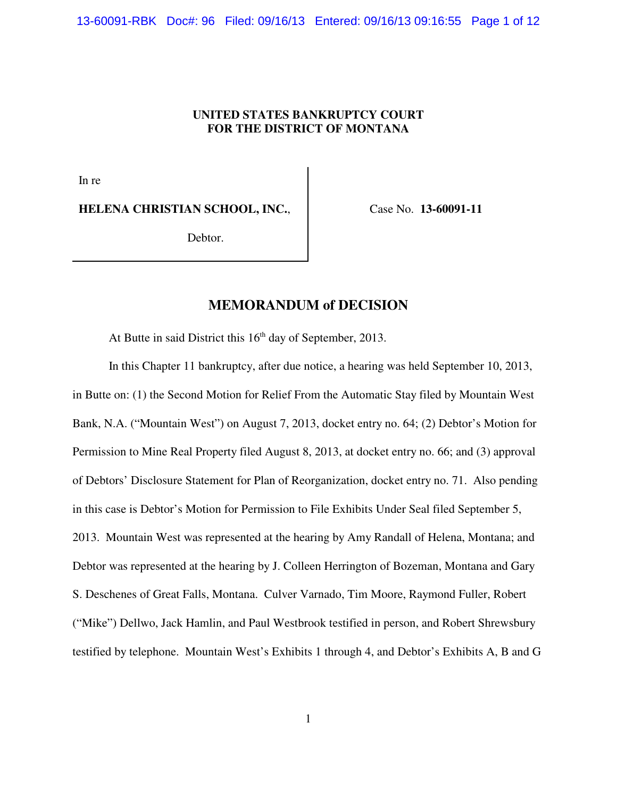13-60091-RBK Doc#: 96 Filed: 09/16/13 Entered: 09/16/13 09:16:55 Page 1 of 12

## **UNITED STATES BANKRUPTCY COURT FOR THE DISTRICT OF MONTANA**

In re

**HELENA CHRISTIAN SCHOOL, INC.**,

Case No. **13-60091-11**

Debtor.

# **MEMORANDUM of DECISION**

At Butte in said District this  $16<sup>th</sup>$  day of September, 2013.

In this Chapter 11 bankruptcy, after due notice, a hearing was held September 10, 2013, in Butte on: (1) the Second Motion for Relief From the Automatic Stay filed by Mountain West Bank, N.A. ("Mountain West") on August 7, 2013, docket entry no. 64; (2) Debtor's Motion for Permission to Mine Real Property filed August 8, 2013, at docket entry no. 66; and (3) approval of Debtors' Disclosure Statement for Plan of Reorganization, docket entry no. 71. Also pending in this case is Debtor's Motion for Permission to File Exhibits Under Seal filed September 5, 2013. Mountain West was represented at the hearing by Amy Randall of Helena, Montana; and Debtor was represented at the hearing by J. Colleen Herrington of Bozeman, Montana and Gary S. Deschenes of Great Falls, Montana. Culver Varnado, Tim Moore, Raymond Fuller, Robert ("Mike") Dellwo, Jack Hamlin, and Paul Westbrook testified in person, and Robert Shrewsbury testified by telephone. Mountain West's Exhibits 1 through 4, and Debtor's Exhibits A, B and G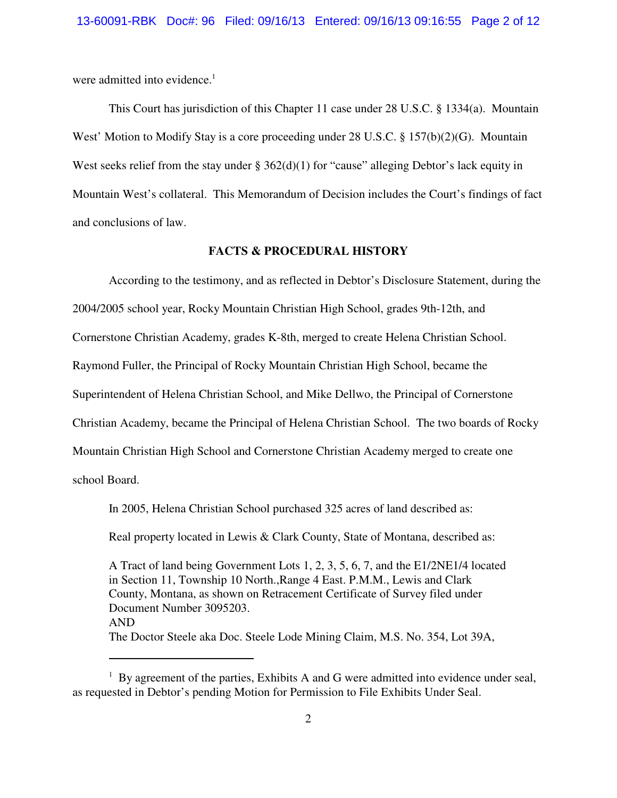were admitted into evidence. $<sup>1</sup>$ </sup>

This Court has jurisdiction of this Chapter 11 case under 28 U.S.C. § 1334(a). Mountain West' Motion to Modify Stay is a core proceeding under 28 U.S.C.  $\S$  157(b)(2)(G). Mountain West seeks relief from the stay under  $\S 362(d)(1)$  for "cause" alleging Debtor's lack equity in Mountain West's collateral. This Memorandum of Decision includes the Court's findings of fact and conclusions of law.

## **FACTS & PROCEDURAL HISTORY**

According to the testimony, and as reflected in Debtor's Disclosure Statement, during the

2004/2005 school year, Rocky Mountain Christian High School, grades 9th-12th, and

Cornerstone Christian Academy, grades K-8th, merged to create Helena Christian School.

Raymond Fuller, the Principal of Rocky Mountain Christian High School, became the

Superintendent of Helena Christian School, and Mike Dellwo, the Principal of Cornerstone

Christian Academy, became the Principal of Helena Christian School. The two boards of Rocky

Mountain Christian High School and Cornerstone Christian Academy merged to create one

school Board.

In 2005, Helena Christian School purchased 325 acres of land described as:

Real property located in Lewis & Clark County, State of Montana, described as:

A Tract of land being Government Lots 1, 2, 3, 5, 6, 7, and the E1/2NE1/4 located in Section 11, Township 10 North.,Range 4 East. P.M.M., Lewis and Clark County, Montana, as shown on Retracement Certificate of Survey filed under Document Number 3095203. AND The Doctor Steele aka Doc. Steele Lode Mining Claim, M.S. No. 354, Lot 39A,

 $1$  By agreement of the parties, Exhibits A and G were admitted into evidence under seal, as requested in Debtor's pending Motion for Permission to File Exhibits Under Seal.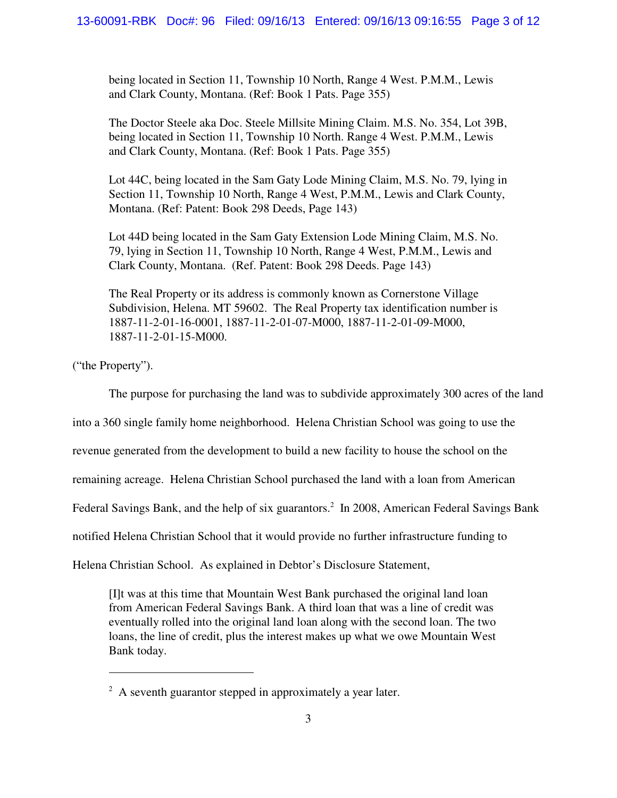being located in Section 11, Township 10 North, Range 4 West. P.M.M., Lewis and Clark County, Montana. (Ref: Book 1 Pats. Page 355)

The Doctor Steele aka Doc. Steele Millsite Mining Claim. M.S. No. 354, Lot 39B, being located in Section 11, Township 10 North. Range 4 West. P.M.M., Lewis and Clark County, Montana. (Ref: Book 1 Pats. Page 355)

Lot 44C, being located in the Sam Gaty Lode Mining Claim, M.S. No. 79, lying in Section 11, Township 10 North, Range 4 West, P.M.M., Lewis and Clark County, Montana. (Ref: Patent: Book 298 Deeds, Page 143)

Lot 44D being located in the Sam Gaty Extension Lode Mining Claim, M.S. No. 79, lying in Section 11, Township 10 North, Range 4 West, P.M.M., Lewis and Clark County, Montana. (Ref. Patent: Book 298 Deeds. Page 143)

The Real Property or its address is commonly known as Cornerstone Village Subdivision, Helena. MT 59602. The Real Property tax identification number is 1887-11-2-01-16-0001, 1887-11-2-01-07-M000, 1887-11-2-01-09-M000, 1887-11-2-01-15-M000.

("the Property").

The purpose for purchasing the land was to subdivide approximately 300 acres of the land

into a 360 single family home neighborhood. Helena Christian School was going to use the

revenue generated from the development to build a new facility to house the school on the

remaining acreage. Helena Christian School purchased the land with a loan from American

Federal Savings Bank, and the help of six guarantors.<sup>2</sup> In 2008, American Federal Savings Bank

notified Helena Christian School that it would provide no further infrastructure funding to

Helena Christian School. As explained in Debtor's Disclosure Statement,

[I]t was at this time that Mountain West Bank purchased the original land loan from American Federal Savings Bank. A third loan that was a line of credit was eventually rolled into the original land loan along with the second loan. The two loans, the line of credit, plus the interest makes up what we owe Mountain West Bank today.

 $2A$  seventh guarantor stepped in approximately a year later.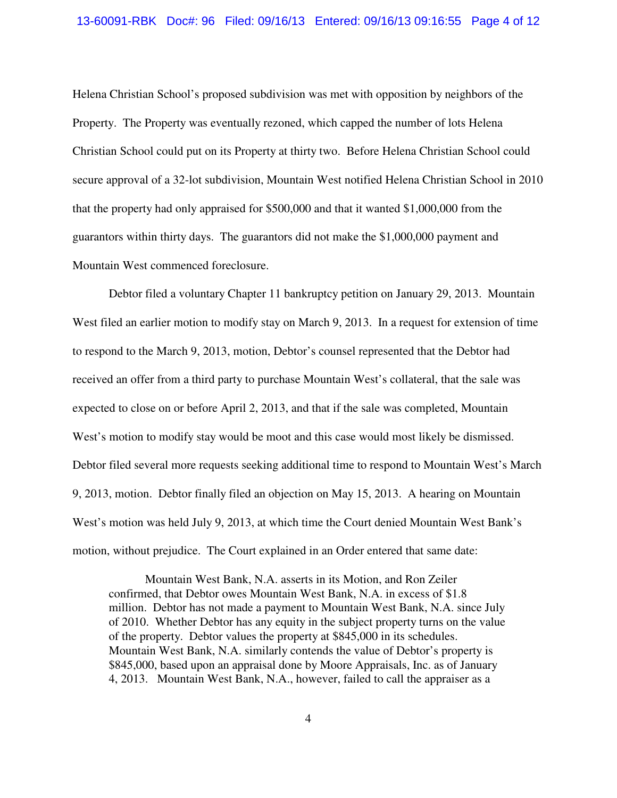Helena Christian School's proposed subdivision was met with opposition by neighbors of the Property. The Property was eventually rezoned, which capped the number of lots Helena Christian School could put on its Property at thirty two. Before Helena Christian School could secure approval of a 32-lot subdivision, Mountain West notified Helena Christian School in 2010 that the property had only appraised for \$500,000 and that it wanted \$1,000,000 from the guarantors within thirty days. The guarantors did not make the \$1,000,000 payment and Mountain West commenced foreclosure.

Debtor filed a voluntary Chapter 11 bankruptcy petition on January 29, 2013. Mountain West filed an earlier motion to modify stay on March 9, 2013. In a request for extension of time to respond to the March 9, 2013, motion, Debtor's counsel represented that the Debtor had received an offer from a third party to purchase Mountain West's collateral, that the sale was expected to close on or before April 2, 2013, and that if the sale was completed, Mountain West's motion to modify stay would be moot and this case would most likely be dismissed. Debtor filed several more requests seeking additional time to respond to Mountain West's March 9, 2013, motion. Debtor finally filed an objection on May 15, 2013. A hearing on Mountain West's motion was held July 9, 2013, at which time the Court denied Mountain West Bank's motion, without prejudice. The Court explained in an Order entered that same date:

Mountain West Bank, N.A. asserts in its Motion, and Ron Zeiler confirmed, that Debtor owes Mountain West Bank, N.A. in excess of \$1.8 million. Debtor has not made a payment to Mountain West Bank, N.A. since July of 2010. Whether Debtor has any equity in the subject property turns on the value of the property. Debtor values the property at \$845,000 in its schedules. Mountain West Bank, N.A. similarly contends the value of Debtor's property is \$845,000, based upon an appraisal done by Moore Appraisals, Inc. as of January 4, 2013. Mountain West Bank, N.A., however, failed to call the appraiser as a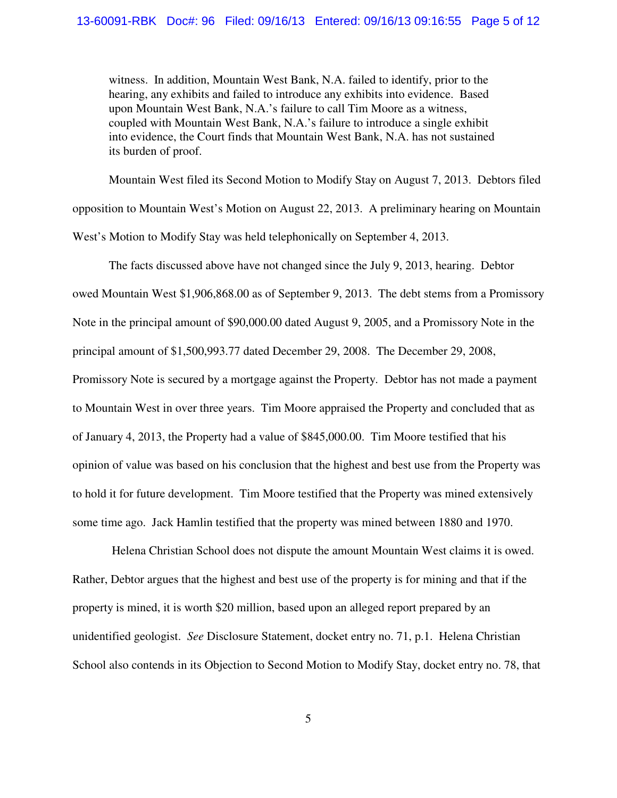witness. In addition, Mountain West Bank, N.A. failed to identify, prior to the hearing, any exhibits and failed to introduce any exhibits into evidence. Based upon Mountain West Bank, N.A.'s failure to call Tim Moore as a witness, coupled with Mountain West Bank, N.A.'s failure to introduce a single exhibit into evidence, the Court finds that Mountain West Bank, N.A. has not sustained its burden of proof.

Mountain West filed its Second Motion to Modify Stay on August 7, 2013. Debtors filed opposition to Mountain West's Motion on August 22, 2013. A preliminary hearing on Mountain West's Motion to Modify Stay was held telephonically on September 4, 2013.

The facts discussed above have not changed since the July 9, 2013, hearing. Debtor owed Mountain West \$1,906,868.00 as of September 9, 2013. The debt stems from a Promissory Note in the principal amount of \$90,000.00 dated August 9, 2005, and a Promissory Note in the principal amount of \$1,500,993.77 dated December 29, 2008. The December 29, 2008, Promissory Note is secured by a mortgage against the Property. Debtor has not made a payment to Mountain West in over three years. Tim Moore appraised the Property and concluded that as of January 4, 2013, the Property had a value of \$845,000.00. Tim Moore testified that his opinion of value was based on his conclusion that the highest and best use from the Property was to hold it for future development. Tim Moore testified that the Property was mined extensively some time ago. Jack Hamlin testified that the property was mined between 1880 and 1970.

 Helena Christian School does not dispute the amount Mountain West claims it is owed. Rather, Debtor argues that the highest and best use of the property is for mining and that if the property is mined, it is worth \$20 million, based upon an alleged report prepared by an unidentified geologist. *See* Disclosure Statement, docket entry no. 71, p.1. Helena Christian School also contends in its Objection to Second Motion to Modify Stay, docket entry no. 78, that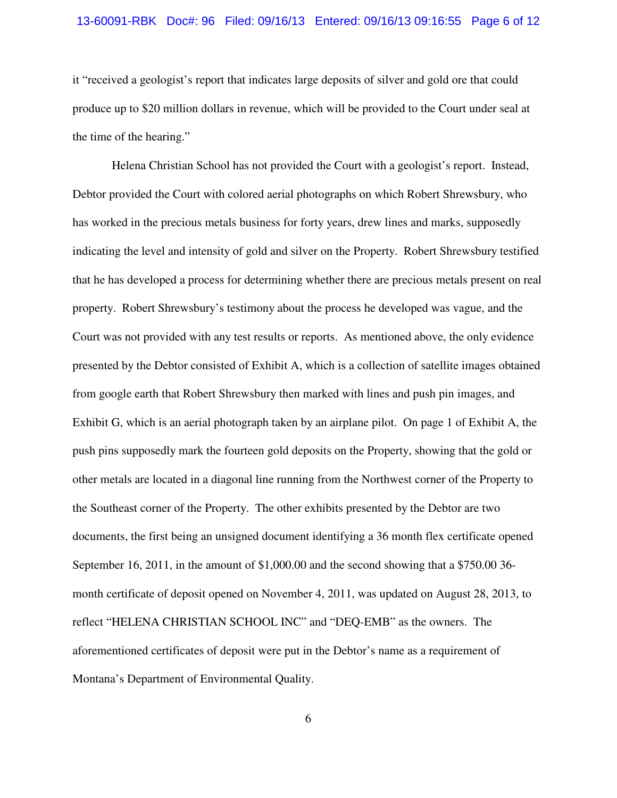#### 13-60091-RBK Doc#: 96 Filed: 09/16/13 Entered: 09/16/13 09:16:55 Page 6 of 12

it "received a geologist's report that indicates large deposits of silver and gold ore that could produce up to \$20 million dollars in revenue, which will be provided to the Court under seal at the time of the hearing."

 Helena Christian School has not provided the Court with a geologist's report. Instead, Debtor provided the Court with colored aerial photographs on which Robert Shrewsbury, who has worked in the precious metals business for forty years, drew lines and marks, supposedly indicating the level and intensity of gold and silver on the Property. Robert Shrewsbury testified that he has developed a process for determining whether there are precious metals present on real property. Robert Shrewsbury's testimony about the process he developed was vague, and the Court was not provided with any test results or reports. As mentioned above, the only evidence presented by the Debtor consisted of Exhibit A, which is a collection of satellite images obtained from google earth that Robert Shrewsbury then marked with lines and push pin images, and Exhibit G, which is an aerial photograph taken by an airplane pilot. On page 1 of Exhibit A, the push pins supposedly mark the fourteen gold deposits on the Property, showing that the gold or other metals are located in a diagonal line running from the Northwest corner of the Property to the Southeast corner of the Property. The other exhibits presented by the Debtor are two documents, the first being an unsigned document identifying a 36 month flex certificate opened September 16, 2011, in the amount of \$1,000.00 and the second showing that a \$750.00 36 month certificate of deposit opened on November 4, 2011, was updated on August 28, 2013, to reflect "HELENA CHRISTIAN SCHOOL INC" and "DEQ-EMB" as the owners. The aforementioned certificates of deposit were put in the Debtor's name as a requirement of Montana's Department of Environmental Quality.

6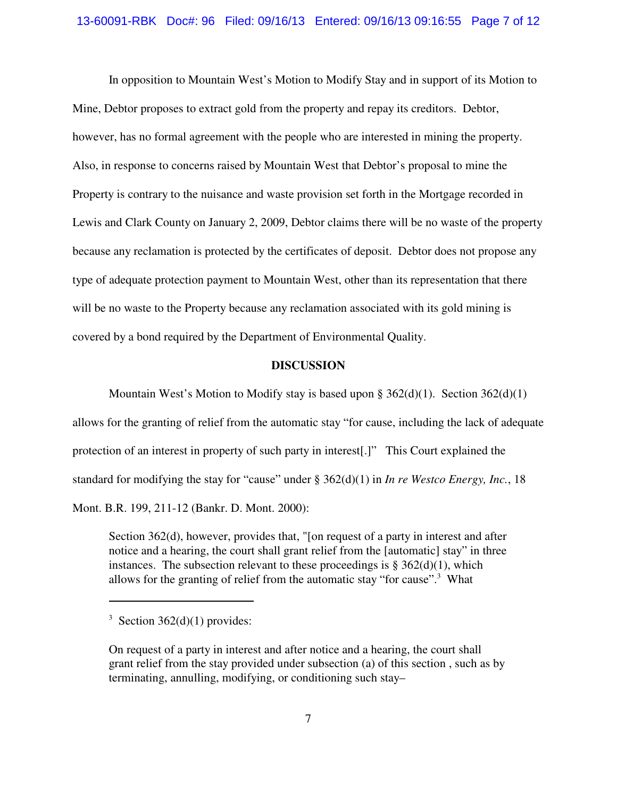In opposition to Mountain West's Motion to Modify Stay and in support of its Motion to Mine, Debtor proposes to extract gold from the property and repay its creditors. Debtor, however, has no formal agreement with the people who are interested in mining the property. Also, in response to concerns raised by Mountain West that Debtor's proposal to mine the Property is contrary to the nuisance and waste provision set forth in the Mortgage recorded in Lewis and Clark County on January 2, 2009, Debtor claims there will be no waste of the property because any reclamation is protected by the certificates of deposit. Debtor does not propose any type of adequate protection payment to Mountain West, other than its representation that there will be no waste to the Property because any reclamation associated with its gold mining is covered by a bond required by the Department of Environmental Quality.

### **DISCUSSION**

Mountain West's Motion to Modify stay is based upon § 362(d)(1). Section 362(d)(1) allows for the granting of relief from the automatic stay "for cause, including the lack of adequate protection of an interest in property of such party in interest[.]" This Court explained the standard for modifying the stay for "cause" under § 362(d)(1) in *In re Westco Energy, Inc.*, 18 Mont. B.R. 199, 211-12 (Bankr. D. Mont. 2000):

Section 362(d), however, provides that, "[on request of a party in interest and after notice and a hearing, the court shall grant relief from the [automatic] stay" in three instances. The subsection relevant to these proceedings is  $\S 362(d)(1)$ , which allows for the granting of relief from the automatic stay "for cause".<sup>3</sup> What

 $3$  Section 362(d)(1) provides:

On request of a party in interest and after notice and a hearing, the court shall grant relief from the stay provided under subsection (a) of this section , such as by terminating, annulling, modifying, or conditioning such stay–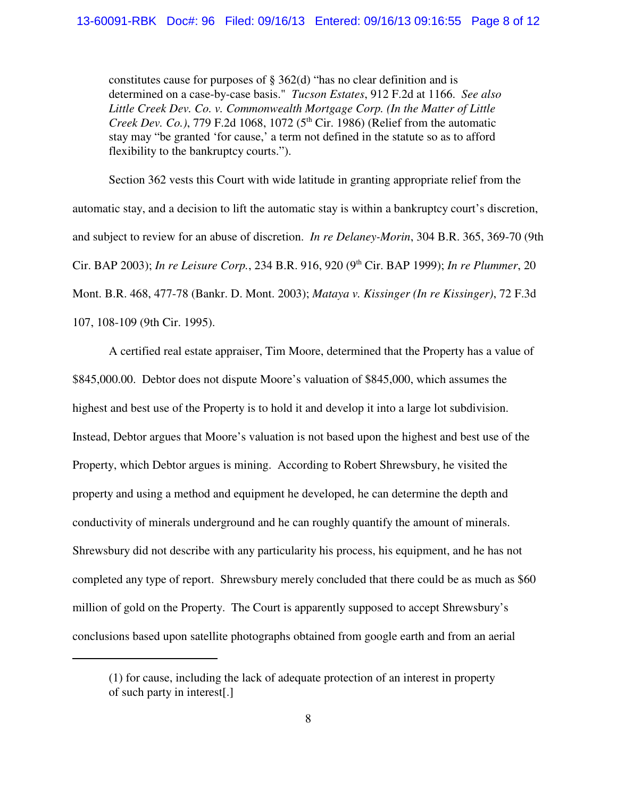constitutes cause for purposes of § 362(d) "has no clear definition and is determined on a case-by-case basis." *Tucson Estates*, 912 F.2d at 1166. *See also Little Creek Dev. Co. v. Commonwealth Mortgage Corp. (In the Matter of Little Creek Dev. Co.)*, 779 F.2d 1068, 1072 ( $5<sup>th</sup>$  Cir. 1986) (Relief from the automatic stay may "be granted 'for cause,' a term not defined in the statute so as to afford flexibility to the bankruptcy courts.").

Section 362 vests this Court with wide latitude in granting appropriate relief from the automatic stay, and a decision to lift the automatic stay is within a bankruptcy court's discretion, and subject to review for an abuse of discretion. *In re Delaney-Morin*, 304 B.R. 365, 369-70 (9th Cir. BAP 2003); *In re Leisure Corp.*, 234 B.R. 916, 920 (9th Cir. BAP 1999); *In re Plummer*, 20 Mont. B.R. 468, 477-78 (Bankr. D. Mont. 2003); *Mataya v. Kissinger (In re Kissinger)*, 72 F.3d 107, 108-109 (9th Cir. 1995).

A certified real estate appraiser, Tim Moore, determined that the Property has a value of \$845,000.00. Debtor does not dispute Moore's valuation of \$845,000, which assumes the highest and best use of the Property is to hold it and develop it into a large lot subdivision. Instead, Debtor argues that Moore's valuation is not based upon the highest and best use of the Property, which Debtor argues is mining. According to Robert Shrewsbury, he visited the property and using a method and equipment he developed, he can determine the depth and conductivity of minerals underground and he can roughly quantify the amount of minerals. Shrewsbury did not describe with any particularity his process, his equipment, and he has not completed any type of report. Shrewsbury merely concluded that there could be as much as \$60 million of gold on the Property. The Court is apparently supposed to accept Shrewsbury's conclusions based upon satellite photographs obtained from google earth and from an aerial

<sup>(1)</sup> for cause, including the lack of adequate protection of an interest in property of such party in interest[.]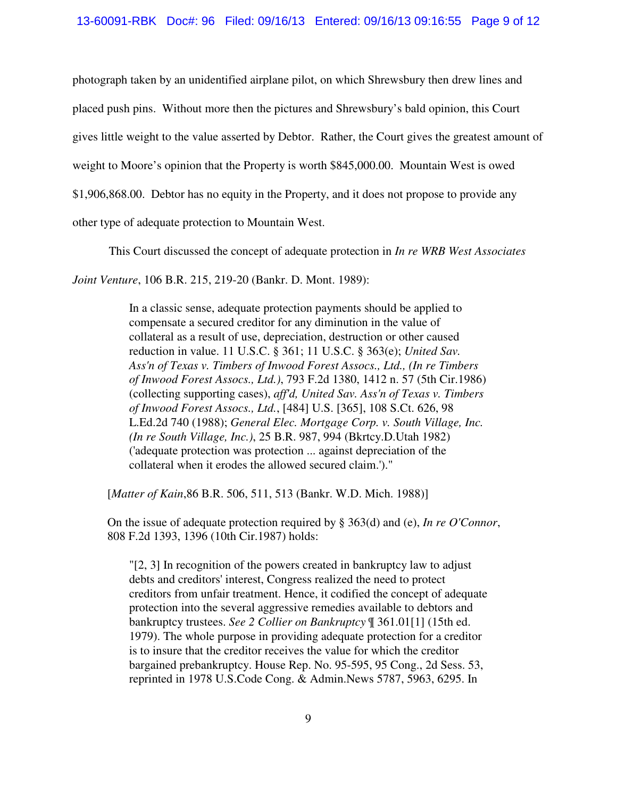photograph taken by an unidentified airplane pilot, on which Shrewsbury then drew lines and placed push pins. Without more then the pictures and Shrewsbury's bald opinion, this Court gives little weight to the value asserted by Debtor. Rather, the Court gives the greatest amount of weight to Moore's opinion that the Property is worth \$845,000.00. Mountain West is owed \$1,906,868.00. Debtor has no equity in the Property, and it does not propose to provide any other type of adequate protection to Mountain West.

This Court discussed the concept of adequate protection in *In re WRB West Associates*

*Joint Venture*, 106 B.R. 215, 219-20 (Bankr. D. Mont. 1989):

In a classic sense, adequate protection payments should be applied to compensate a secured creditor for any diminution in the value of collateral as a result of use, depreciation, destruction or other caused reduction in value. 11 U.S.C. § 361; 11 U.S.C. § 363(e); *United Sav. Ass'n of Texas v. Timbers of Inwood Forest Assocs., Ltd., (In re Timbers of Inwood Forest Assocs., Ltd.)*, 793 F.2d 1380, 1412 n. 57 (5th Cir.1986) (collecting supporting cases), *aff'd, United Sav. Ass'n of Texas v. Timbers of Inwood Forest Assocs., Ltd.*, [484] U.S. [365], 108 S.Ct. 626, 98 L.Ed.2d 740 (1988); *General Elec. Mortgage Corp. v. South Village, Inc. (In re South Village, Inc.)*, 25 B.R. 987, 994 (Bkrtcy.D.Utah 1982) ('adequate protection was protection ... against depreciation of the collateral when it erodes the allowed secured claim.')."

[*Matter of Kain*,86 B.R. 506, 511, 513 (Bankr. W.D. Mich. 1988)]

On the issue of adequate protection required by § 363(d) and (e), *In re O'Connor*, 808 F.2d 1393, 1396 (10th Cir.1987) holds:

"[2, 3] In recognition of the powers created in bankruptcy law to adjust debts and creditors' interest, Congress realized the need to protect creditors from unfair treatment. Hence, it codified the concept of adequate protection into the several aggressive remedies available to debtors and bankruptcy trustees. *See 2 Collier on Bankruptcy* ¶ 361.01[1] (15th ed. 1979). The whole purpose in providing adequate protection for a creditor is to insure that the creditor receives the value for which the creditor bargained prebankruptcy. House Rep. No. 95-595, 95 Cong., 2d Sess. 53, reprinted in 1978 U.S.Code Cong. & Admin.News 5787, 5963, 6295. In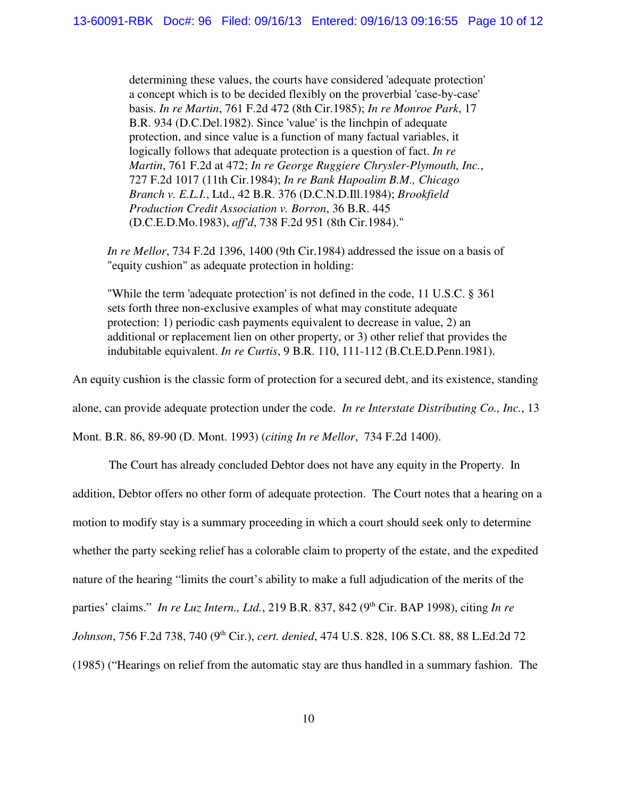determining these values, the courts have considered 'adequate protection' a concept which is to be decided flexibly on the proverbial 'case-by-case' basis. *In re Martin*, 761 F.2d 472 (8th Cir.1985); *In re Monroe Park*, 17 B.R. 934 (D.C.Del.1982). Since 'value' is the linchpin of adequate protection, and since value is a function of many factual variables, it logically follows that adequate protection is a question of fact. *In re Martin*, 761 F.2d at 472; *In re George Ruggiere Chrysler-Plymouth, Inc.*, 727 F.2d 1017 (11th Cir.1984); *In re Bank Hapoalim B.M., Chicago Branch v. E.L.I.*, Ltd., 42 B.R. 376 (D.C.N.D.Ill.1984); *Brookfield Production Credit Association v. Borron*, 36 B.R. 445 (D.C.E.D.Mo.1983), *aff'd*, 738 F.2d 951 (8th Cir.1984)."

*In re Mellor*, 734 F.2d 1396, 1400 (9th Cir.1984) addressed the issue on a basis of "equity cushion" as adequate protection in holding:

"While the term 'adequate protection' is not defined in the code, 11 U.S.C. § 361 sets forth three non-exclusive examples of what may constitute adequate protection: 1) periodic cash payments equivalent to decrease in value, 2) an additional or replacement lien on other property, or 3) other relief that provides the indubitable equivalent. *In re Curtis*, 9 B.R. 110, 111-112 (B.Ct.E.D.Penn.1981).

An equity cushion is the classic form of protection for a secured debt, and its existence, standing

alone, can provide adequate protection under the code. *In re Interstate Distributing Co., Inc.*, 13

Mont. B.R. 86, 89-90 (D. Mont. 1993) (*citing In re Mellor*, 734 F.2d 1400).

The Court has already concluded Debtor does not have any equity in the Property. In addition, Debtor offers no other form of adequate protection. The Court notes that a hearing on a motion to modify stay is a summary proceeding in which a court should seek only to determine whether the party seeking relief has a colorable claim to property of the estate, and the expedited nature of the hearing "limits the court's ability to make a full adjudication of the merits of the parties' claims." *In re Luz Intern., Ltd.,* 219 B.R. 837, 842 (9<sup>th</sup> Cir. BAP 1998), citing *In re Johnson*, 756 F.2d 738, 740 (9th Cir.), *cert. denied*, 474 U.S. 828, 106 S.Ct. 88, 88 L.Ed.2d 72 (1985) ("Hearings on relief from the automatic stay are thus handled in a summary fashion. The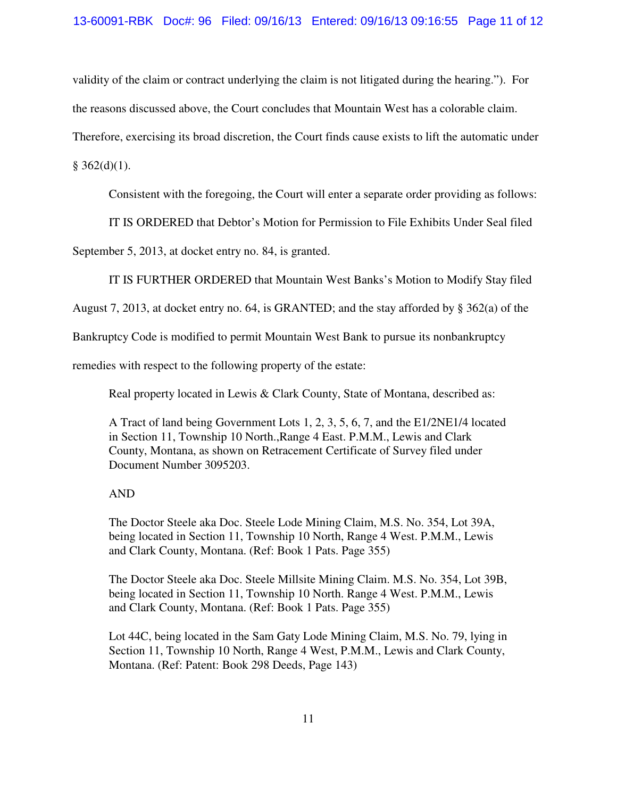validity of the claim or contract underlying the claim is not litigated during the hearing."). For

the reasons discussed above, the Court concludes that Mountain West has a colorable claim.

Therefore, exercising its broad discretion, the Court finds cause exists to lift the automatic under

 $§$  362(d)(1).

Consistent with the foregoing, the Court will enter a separate order providing as follows:

IT IS ORDERED that Debtor's Motion for Permission to File Exhibits Under Seal filed

September 5, 2013, at docket entry no. 84, is granted.

IT IS FURTHER ORDERED that Mountain West Banks's Motion to Modify Stay filed

August 7, 2013, at docket entry no. 64, is GRANTED; and the stay afforded by § 362(a) of the

Bankruptcy Code is modified to permit Mountain West Bank to pursue its nonbankruptcy

remedies with respect to the following property of the estate:

Real property located in Lewis & Clark County, State of Montana, described as:

A Tract of land being Government Lots 1, 2, 3, 5, 6, 7, and the E1/2NE1/4 located in Section 11, Township 10 North.,Range 4 East. P.M.M., Lewis and Clark County, Montana, as shown on Retracement Certificate of Survey filed under Document Number 3095203.

## AND

The Doctor Steele aka Doc. Steele Lode Mining Claim, M.S. No. 354, Lot 39A, being located in Section 11, Township 10 North, Range 4 West. P.M.M., Lewis and Clark County, Montana. (Ref: Book 1 Pats. Page 355)

The Doctor Steele aka Doc. Steele Millsite Mining Claim. M.S. No. 354, Lot 39B, being located in Section 11, Township 10 North. Range 4 West. P.M.M., Lewis and Clark County, Montana. (Ref: Book 1 Pats. Page 355)

Lot 44C, being located in the Sam Gaty Lode Mining Claim, M.S. No. 79, lying in Section 11, Township 10 North, Range 4 West, P.M.M., Lewis and Clark County, Montana. (Ref: Patent: Book 298 Deeds, Page 143)